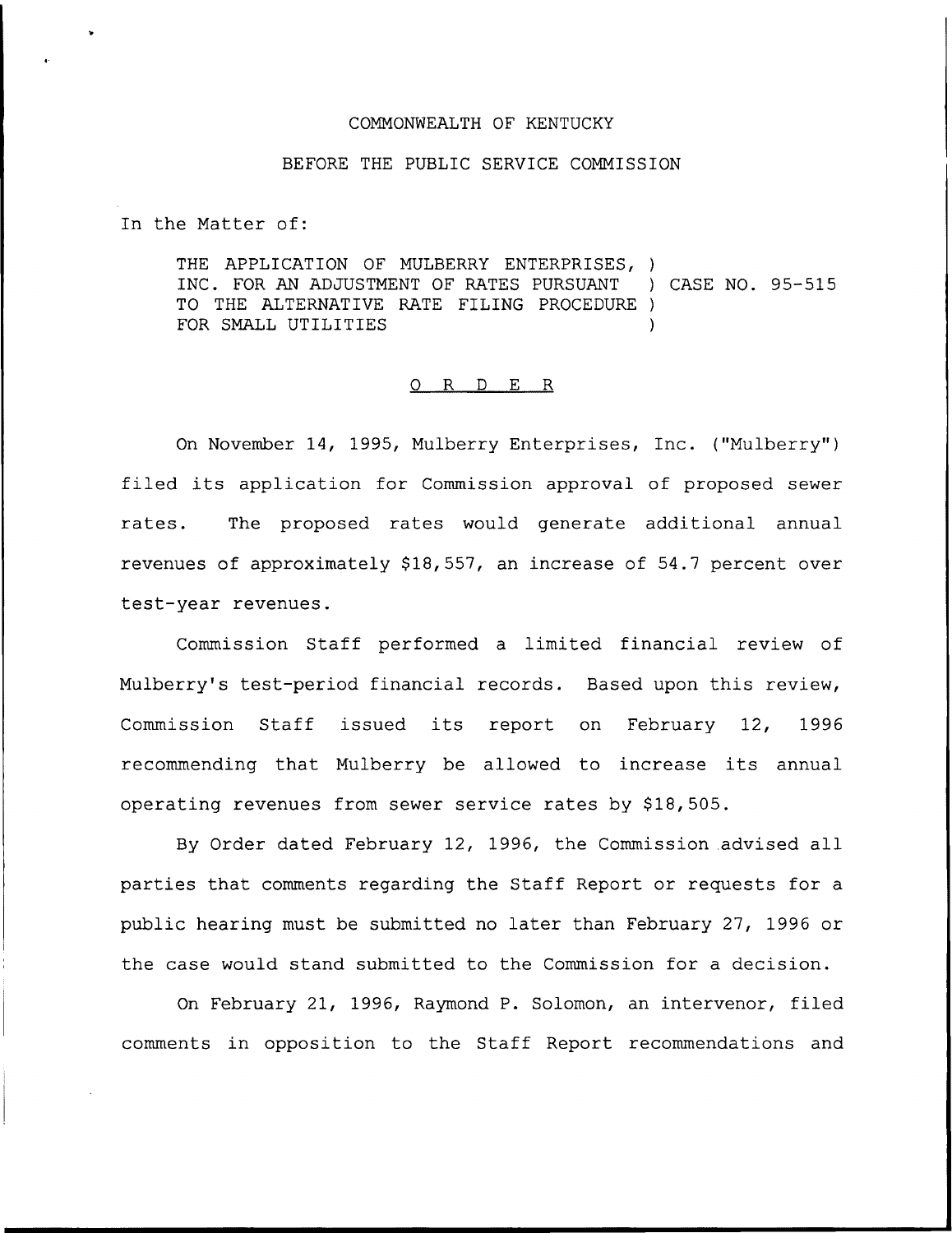## COMMONWEALTH OF KENTUCKY

## BEFORE THE PUBLIC SERVICE COMMISSION

In the Matter of:

THE APPLICATION OF MULBERRY ENTERPRISES, ) INC. FOR AN ADJUSTMENT OF RATES PURSUANT ) CASE NO. 95-515 TO THE ALTERNATIVE RATE FILING PROCEDURE ) FOR SMALL UTILITIES

#### 0 R <sup>D</sup> E R

On November 14, 1995, Mulberry Enterprises, Inc. ("Mulberry" ) filed its application for Commission approval of proposed sewer rates. The proposed rates would generate additional annual revenues of approximately  $$18,557$ , an increase of 54.7 percent over test-year revenues.

Commission Staff performed a limited financial review of Mulberry's test-period financial records. Based upon this review, Commission Staff issued its report on February 12, 1996 recommending that Mulberry be allowed to increase its annual operating revenues from sewer service rates by \$18,505.

By Order dated February 12, 1996, the Commission advised all parties that comments regarding the Staff Report or requests for a public hearing must be submitted no later than February 27, 1996 or the case would stand submitted to the Commission for a decision.

On February 21, 1996, Raymond P. Solomon, an intervenor, filed comments in opposition to the Staff Report recommendations and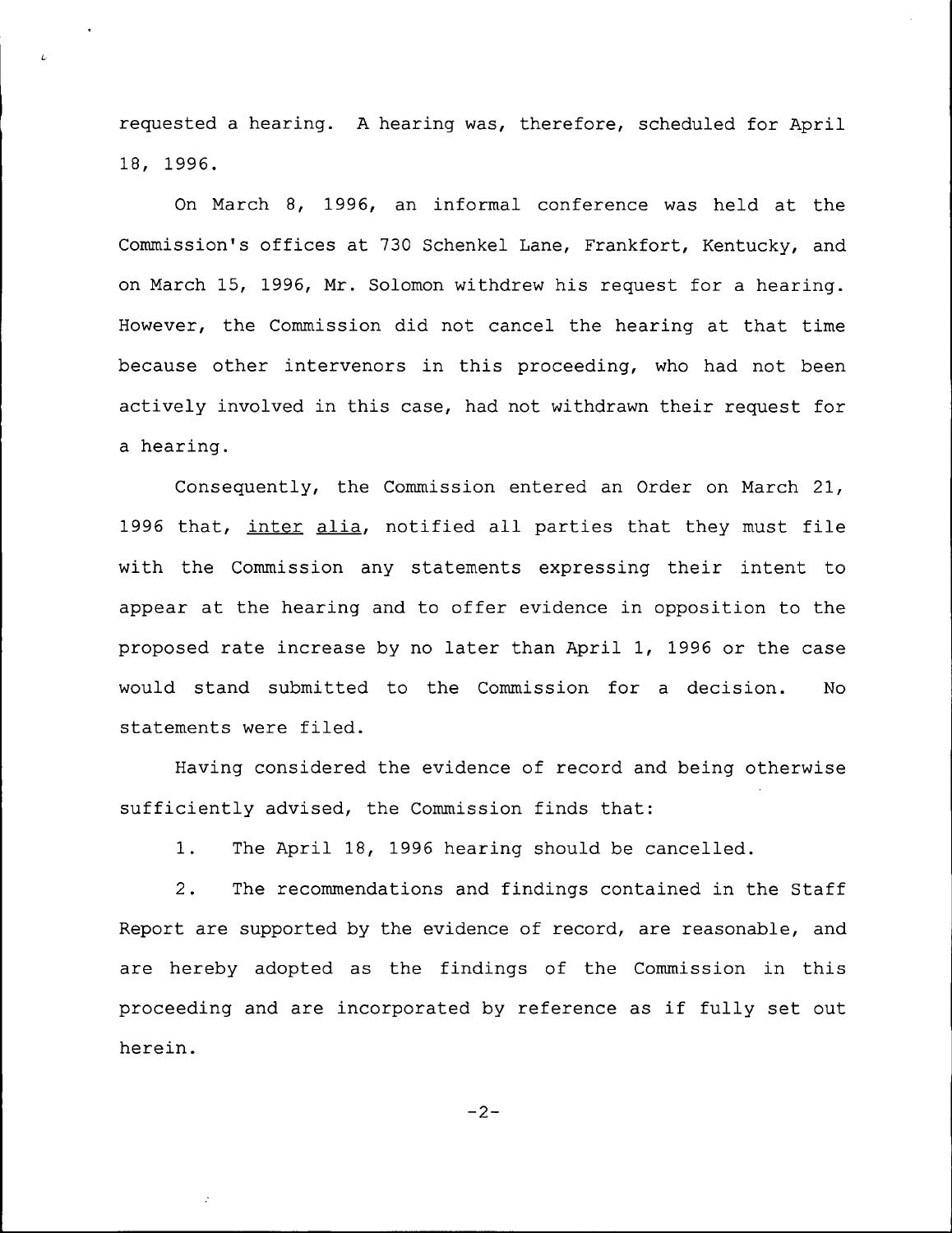requested a hearing. <sup>A</sup> hearing was, therefore, scheduled for April 18, 1996.

 $\overline{I}$ 

On March 8, 1996, an informal conference was held at the Commission's offices at 730 Schenkel Lane, Frankfort, Kentucky, and on March 15, 1996, Mr. Solomon withdrew his request for a hearing. However, the Commission did not cancel the hearing at that time because other intervenors in this proceeding, who had not been actively involved in this case, had not withdrawn their request for a hearing.

Consequently, the Commission entered an Order on March 21, 1996 that, inter alia, notified all parties that they must file with the Commission any statements expressing their intent to appear at the hearing and to offer evidence in opposition to the proposed rate increase by no later than April 1, 1996 or the case would stand submitted to the Commission for a decision. No statements were filed.

Having considered the evidence of record and being otherwise sufficiently advised, the Commission finds that:

The April 18, 1996 hearing should be cancelled.  $1.$ 

2. The recommendations and findings contained in the Staff Report are supported by the evidence of record, are reasonable, and are hereby adopted as the findings of the Commission in this proceeding and are incorporated by reference as if fully set out herein.

$$
-2-
$$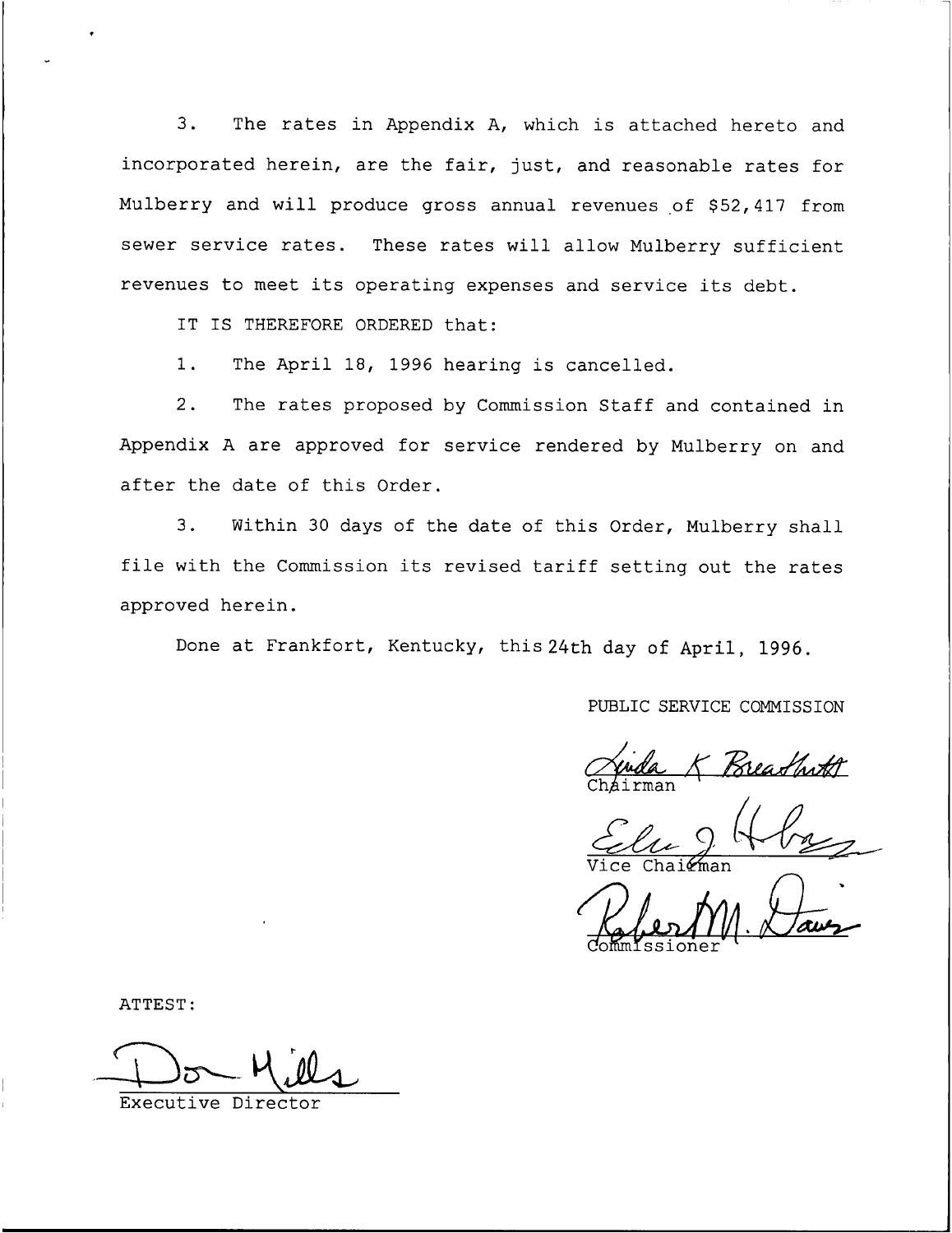3. The rates in Appendix A, which is attached hereto and incorporated herein, are the fair, just, and reasonable rates for Mulberry and will produce gross annual revenues of \$52,417 from sewer service rates. These rates will allow Mulberry sufficient revenues to meet its operating expenses and service its debt.

I<sup>T</sup> I<sup>S</sup> THEREFORE ORDERED that:

1. The April 18, 1996 hearing is cancelled.

2. The rates proposed by Commission Staff and contained in Appendix <sup>A</sup> are approved for service rendered by Mulberry on and after the date of this Order.

3. Within 30 days of the date of this Order, Mulberry shall file with the Commission its revised tariff setting out the rates approved herein.

Done at Frankfort, Kentucky, this 24th day of April, 1996.

PUBLIC SERVICE COMMISSION

Breadhith Ch<mark>a</mark>irma

Vice Chairma

CommIssione

ATTEST:

Executive Director